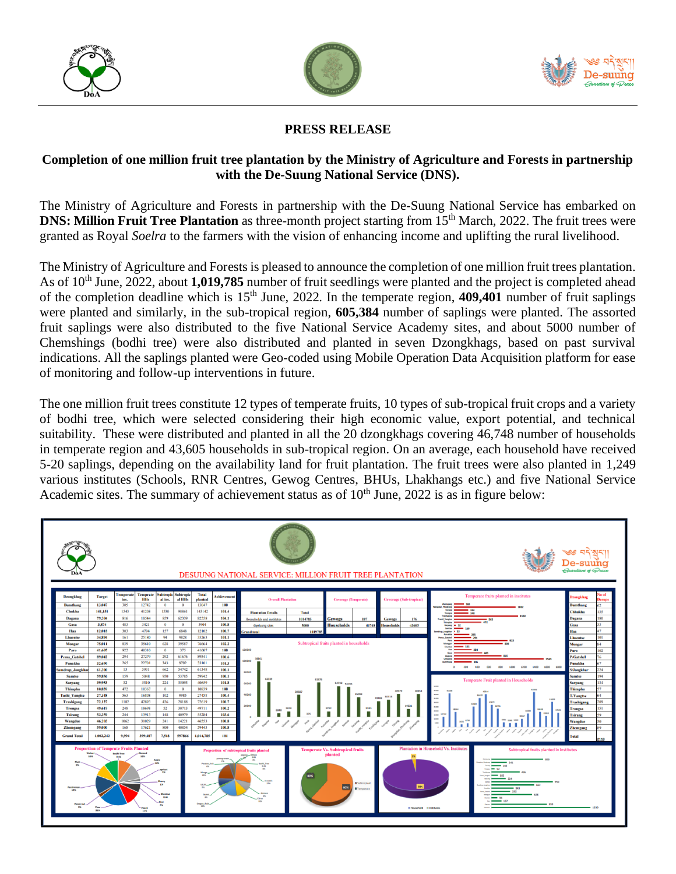





## **PRESS RELEASE**

## **Completion of one million fruit tree plantation by the Ministry of Agriculture and Forests in partnership with the De-Suung National Service (DNS).**

The Ministry of Agriculture and Forests in partnership with the De-Suung National Service has embarked on **DNS: Million Fruit Tree Plantation** as three-month project starting from 15<sup>th</sup> March, 2022. The fruit trees were granted as Royal *Soelra* to the farmers with the vision of enhancing income and uplifting the rural livelihood.

The Ministry of Agriculture and Forests is pleased to announce the completion of one million fruit trees plantation. As of 10<sup>th</sup> June, 2022, about **1,019,785** number of fruit seedlings were planted and the project is completed ahead of the completion deadline which is 15th June, 2022. In the temperate region, **409,401** number of fruit saplings were planted and similarly, in the sub-tropical region, **605,384** number of saplings were planted. The assorted fruit saplings were also distributed to the five National Service Academy sites, and about 5000 number of Chemshings (bodhi tree) were also distributed and planted in seven Dzongkhags, based on past survival indications. All the saplings planted were Geo-coded using Mobile Operation Data Acquisition platform for ease of monitoring and follow-up interventions in future.

The one million fruit trees constitute 12 types of temperate fruits, 10 types of sub-tropical fruit crops and a variety of bodhi tree, which were selected considering their high economic value, export potential, and technical suitability. These were distributed and planted in all the 20 dzongkhags covering 46,748 number of households in temperate region and 43,605 households in sub-tropical region. On an average, each household have received 5-20 saplings, depending on the availability land for fruit plantation. The fruit trees were also planted in 1,249 various institutes (Schools, RNR Centres, Gewog Centres, BHUs, Lhakhangs etc.) and five National Service Academic sites. The summary of achievement status as of  $10<sup>th</sup>$  June, 2022 is as in figure below: